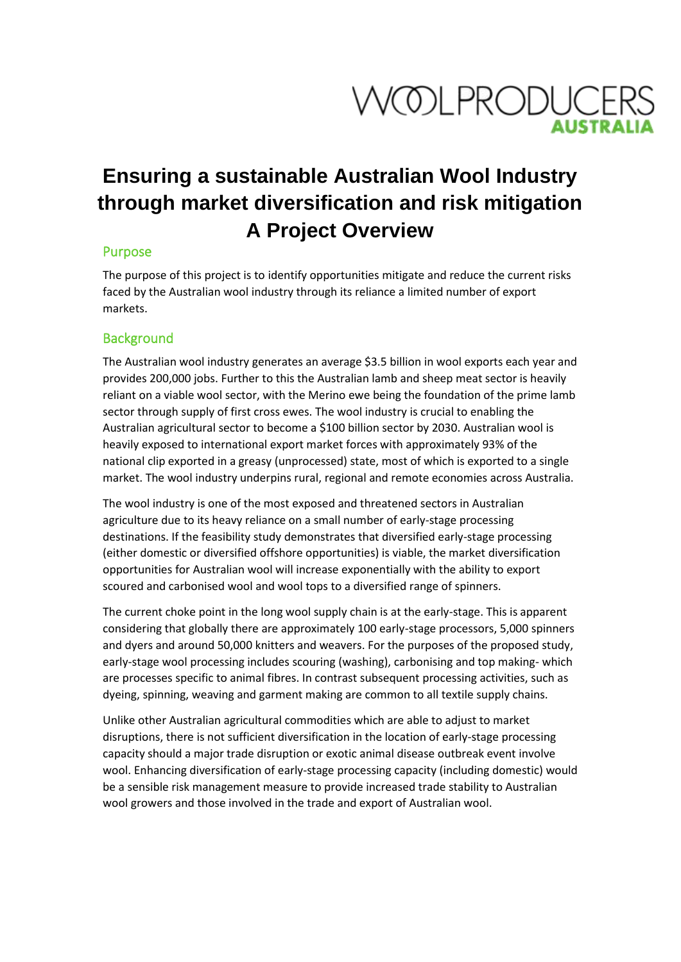

# **Ensuring a sustainable Australian Wool Industry through market diversification and risk mitigation A Project Overview**

# Purpose

The purpose of this project is to identify opportunities mitigate and reduce the current risks faced by the Australian wool industry through its reliance a limited number of export markets.

#### **Background**

The Australian wool industry generates an average \$3.5 billion in wool exports each year and provides 200,000 jobs. Further to this the Australian lamb and sheep meat sector is heavily reliant on a viable wool sector, with the Merino ewe being the foundation of the prime lamb sector through supply of first cross ewes. The wool industry is crucial to enabling the Australian agricultural sector to become a \$100 billion sector by 2030. Australian wool is heavily exposed to international export market forces with approximately 93% of the national clip exported in a greasy (unprocessed) state, most of which is exported to a single market. The wool industry underpins rural, regional and remote economies across Australia.

The wool industry is one of the most exposed and threatened sectors in Australian agriculture due to its heavy reliance on a small number of early-stage processing destinations. If the feasibility study demonstrates that diversified early-stage processing (either domestic or diversified offshore opportunities) is viable, the market diversification opportunities for Australian wool will increase exponentially with the ability to export scoured and carbonised wool and wool tops to a diversified range of spinners.

The current choke point in the long wool supply chain is at the early-stage. This is apparent considering that globally there are approximately 100 early-stage processors, 5,000 spinners and dyers and around 50,000 knitters and weavers. For the purposes of the proposed study, early-stage wool processing includes scouring (washing), carbonising and top making- which are processes specific to animal fibres. In contrast subsequent processing activities, such as dyeing, spinning, weaving and garment making are common to all textile supply chains.

Unlike other Australian agricultural commodities which are able to adjust to market disruptions, there is not sufficient diversification in the location of early-stage processing capacity should a major trade disruption or exotic animal disease outbreak event involve wool. Enhancing diversification of early-stage processing capacity (including domestic) would be a sensible risk management measure to provide increased trade stability to Australian wool growers and those involved in the trade and export of Australian wool.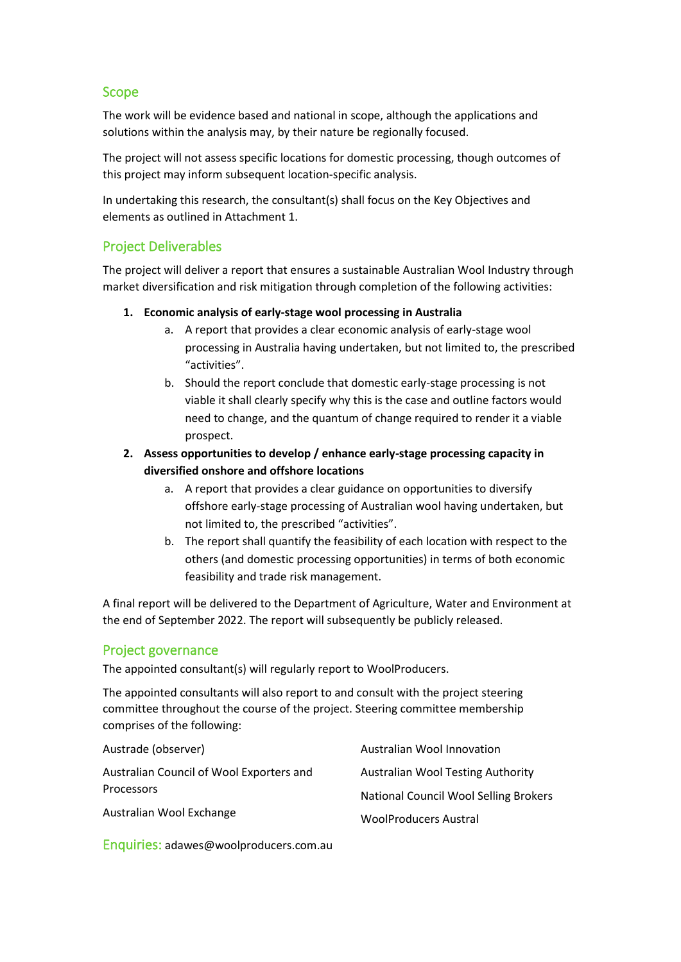# Scope

The work will be evidence based and national in scope, although the applications and solutions within the analysis may, by their nature be regionally focused.

The project will not assess specific locations for domestic processing, though outcomes of this project may inform subsequent location-specific analysis.

In undertaking this research, the consultant(s) shall focus on the Key Objectives and elements as outlined in Attachment 1.

# Project Deliverables

The project will deliver a report that ensures a sustainable Australian Wool Industry through market diversification and risk mitigation through completion of the following activities:

#### **1. Economic analysis of early-stage wool processing in Australia**

- a. A report that provides a clear economic analysis of early-stage wool processing in Australia having undertaken, but not limited to, the prescribed "activities".
- b. Should the report conclude that domestic early-stage processing is not viable it shall clearly specify why this is the case and outline factors would need to change, and the quantum of change required to render it a viable prospect.
- **2. Assess opportunities to develop / enhance early-stage processing capacity in diversified onshore and offshore locations**
	- a. A report that provides a clear guidance on opportunities to diversify offshore early-stage processing of Australian wool having undertaken, but not limited to, the prescribed "activities".
	- b. The report shall quantify the feasibility of each location with respect to the others (and domestic processing opportunities) in terms of both economic feasibility and trade risk management.

A final report will be delivered to the Department of Agriculture, Water and Environment at the end of September 2022. The report will subsequently be publicly released.

#### Project governance

The appointed consultant(s) will regularly report to WoolProducers.

The appointed consultants will also report to and consult with the project steering committee throughout the course of the project. Steering committee membership comprises of the following:

| Austrade (observer)                      | <b>Australian Wool Innovation</b>            |
|------------------------------------------|----------------------------------------------|
| Australian Council of Wool Exporters and | Australian Wool Testing Authority            |
| <b>Processors</b>                        | <b>National Council Wool Selling Brokers</b> |
| Australian Wool Exchange                 | <b>WoolProducers Austral</b>                 |

Enquiries: adawes@woolproducers.com.au